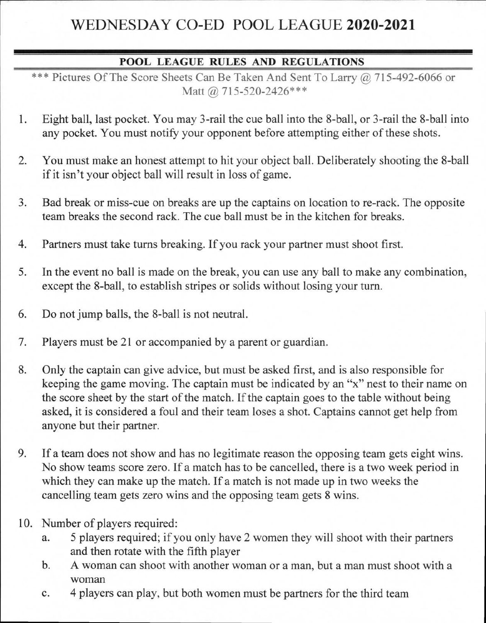## WEDNESDAY CO-ED POOL LEAGUE **2020-2021**

## **POOL LEAGUE RULES AND REGULATIONS**

\*\*\* Pictures Of The Score Sheets Can Be Taken And Sent To Larry @ 715-492-6066 or Matt @ 715-520-2426\*\*\*

- 1. Eight ball, last pocket. You may 3-rail the cue ball into the 8-ball, or 3-rail the 8-ball into any pocket. You must notify your opponent before attempting either of these shots.
- 2. You must make an honest attempt to hit your object ball. Deliberately shooting the 8-ball if it isn't your object ball will result in loss of game.
- 3. Bad break or miss-cue on breaks are up the captains on location to re-rack. The opposite team breaks the second rack. The cue ball must be in the kitchen for breaks.
- 4. Partners must take turns breaking. If you rack your partner must shoot first.
- 5. In the event no ball is made on the break, you can use any ball to make any combination, except the 8-ball, to establish stripes or solids without losing your turn.
- 6. Do not jump balls, the 8-ball is not neutral.
- 7. Players must be 21 or accompanied by a parent or guardian.
- 8. Only the captain can give advice, but must be asked first, and is also responsible for keeping the game moving. The captain must be indicated by an "x" nest to their name on the score sheet by the start of the match. If the captain goes to the table without being asked, it is considered a foul and their team loses a shot. Captains cannot get help from anyone but their partner.
- 9. If a team does not show and has no legitimate reason the opposing team gets eight wins. No show teams score zero. If a match has to be cancelled, there is a two week period in which they can make up the match. If a match is not made up in two weeks the cancelling team gets zero wins and the opposing team gets 8 wins.
- 10. Number of players required:
	- a. 5 players required; if you only have 2 women they will shoot with their partners and then rotate with the fifth player
	- b. A woman can shoot with another woman or a man, but a man must shoot with a woman
	- c. 4 players can play, but both women must be partners for the third team